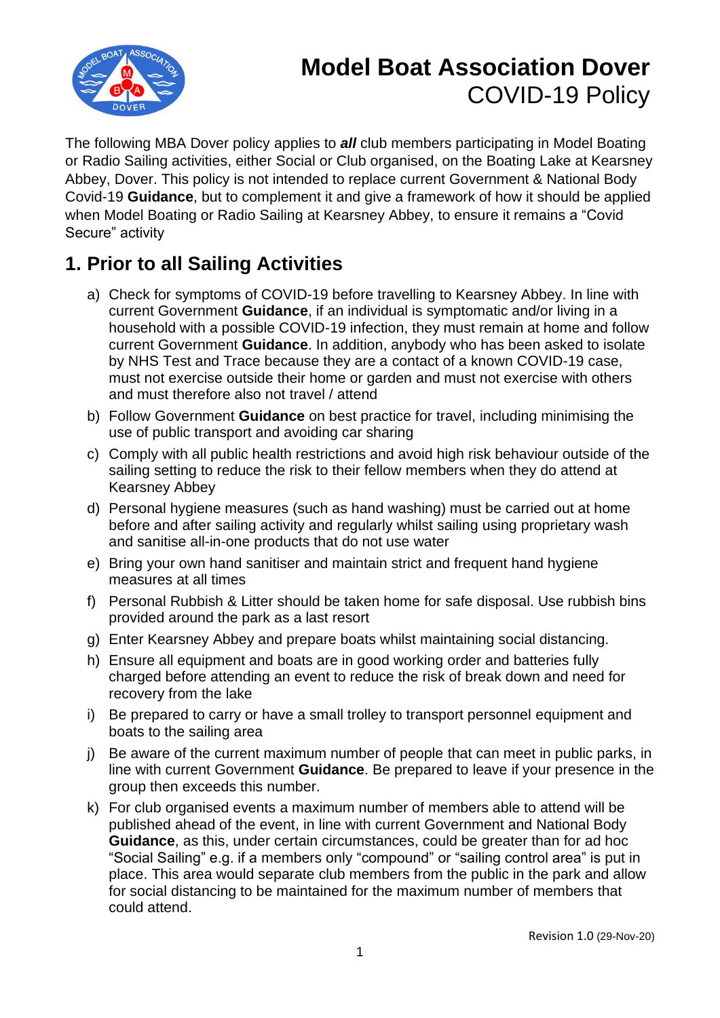

# **Model Boat Association Dover** COVID-19 Policy

The following MBA Dover policy applies to *all* club members participating in Model Boating or Radio Sailing activities, either Social or Club organised, on the Boating Lake at Kearsney Abbey, Dover. This policy is not intended to replace current Government & National Body Covid-19 **Guidance**, but to complement it and give a framework of how it should be applied when Model Boating or Radio Sailing at Kearsney Abbey, to ensure it remains a "Covid Secure" activity

## **1. Prior to all Sailing Activities**

- a) Check for symptoms of COVID-19 before travelling to Kearsney Abbey. In line with current Government **Guidance**, if an individual is symptomatic and/or living in a household with a possible COVID-19 infection, they must remain at home and follow current Government **Guidance**. In addition, anybody who has been asked to isolate by NHS Test and Trace because they are a contact of a known COVID-19 case, must not exercise outside their home or garden and must not exercise with others and must therefore also not travel / attend
- b) Follow Government **Guidance** on best practice for travel, including minimising the use of public transport and avoiding car sharing
- c) Comply with all public health restrictions and avoid high risk behaviour outside of the sailing setting to reduce the risk to their fellow members when they do attend at Kearsney Abbey
- d) Personal hygiene measures (such as hand washing) must be carried out at home before and after sailing activity and regularly whilst sailing using proprietary wash and sanitise all-in-one products that do not use water
- e) Bring your own hand sanitiser and maintain strict and frequent hand hygiene measures at all times
- f) Personal Rubbish & Litter should be taken home for safe disposal. Use rubbish bins provided around the park as a last resort
- g) Enter Kearsney Abbey and prepare boats whilst maintaining social distancing.
- h) Ensure all equipment and boats are in good working order and batteries fully charged before attending an event to reduce the risk of break down and need for recovery from the lake
- i) Be prepared to carry or have a small trolley to transport personnel equipment and boats to the sailing area
- j) Be aware of the current maximum number of people that can meet in public parks, in line with current Government **Guidance**. Be prepared to leave if your presence in the group then exceeds this number.
- k) For club organised events a maximum number of members able to attend will be published ahead of the event, in line with current Government and National Body **Guidance**, as this, under certain circumstances, could be greater than for ad hoc "Social Sailing" e.g. if a members only "compound" or "sailing control area" is put in place. This area would separate club members from the public in the park and allow for social distancing to be maintained for the maximum number of members that could attend.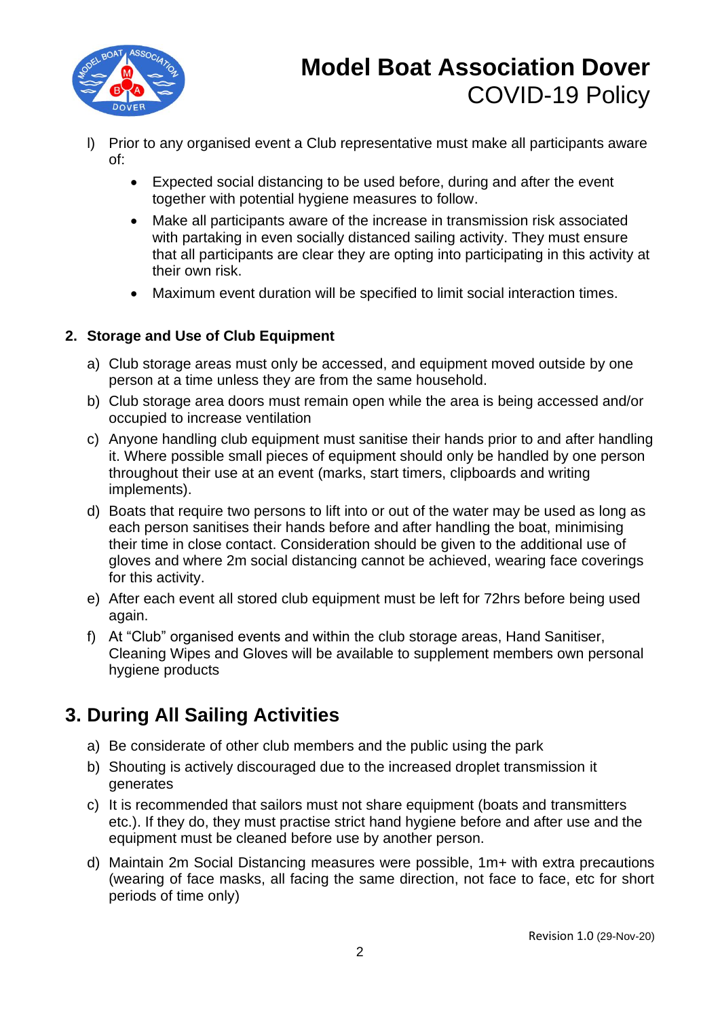

## **Model Boat Association Dover** COVID-19 Policy

- l) Prior to any organised event a Club representative must make all participants aware of:
	- Expected social distancing to be used before, during and after the event together with potential hygiene measures to follow.
	- Make all participants aware of the increase in transmission risk associated with partaking in even socially distanced sailing activity. They must ensure that all participants are clear they are opting into participating in this activity at their own risk.
	- Maximum event duration will be specified to limit social interaction times.

#### **2. Storage and Use of Club Equipment**

- a) Club storage areas must only be accessed, and equipment moved outside by one person at a time unless they are from the same household.
- b) Club storage area doors must remain open while the area is being accessed and/or occupied to increase ventilation
- c) Anyone handling club equipment must sanitise their hands prior to and after handling it. Where possible small pieces of equipment should only be handled by one person throughout their use at an event (marks, start timers, clipboards and writing implements).
- d) Boats that require two persons to lift into or out of the water may be used as long as each person sanitises their hands before and after handling the boat, minimising their time in close contact. Consideration should be given to the additional use of gloves and where 2m social distancing cannot be achieved, wearing face coverings for this activity.
- e) After each event all stored club equipment must be left for 72hrs before being used again.
- f) At "Club" organised events and within the club storage areas, Hand Sanitiser, Cleaning Wipes and Gloves will be available to supplement members own personal hygiene products

### **3. During All Sailing Activities**

- a) Be considerate of other club members and the public using the park
- b) Shouting is actively discouraged due to the increased droplet transmission it generates
- c) It is recommended that sailors must not share equipment (boats and transmitters etc.). If they do, they must practise strict hand hygiene before and after use and the equipment must be cleaned before use by another person.
- d) Maintain 2m Social Distancing measures were possible, 1m+ with extra precautions (wearing of face masks, all facing the same direction, not face to face, etc for short periods of time only)